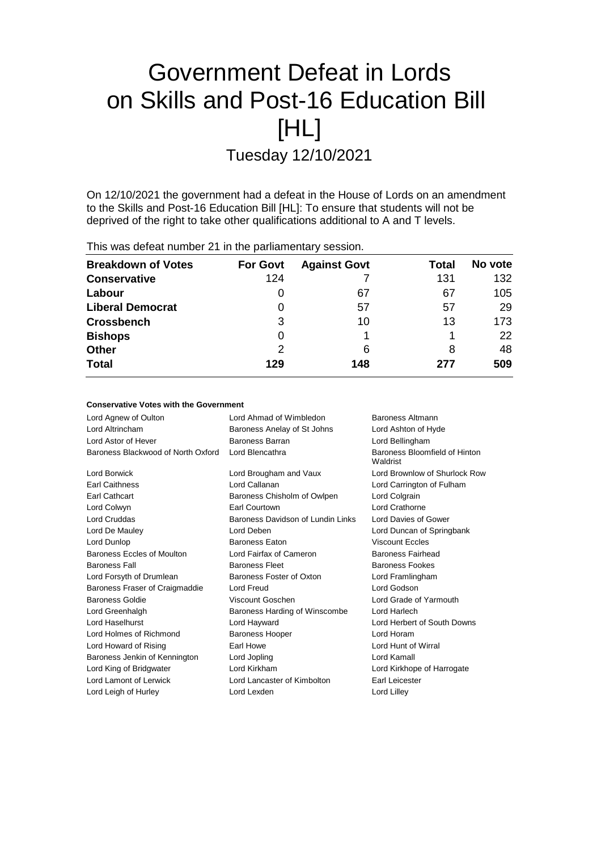# Government Defeat in Lords on Skills and Post-16 Education Bill [HL]

Tuesday 12/10/2021

On 12/10/2021 the government had a defeat in the House of Lords on an amendment to the Skills and Post-16 Education Bill [HL]: To ensure that students will not be deprived of the right to take other qualifications additional to A and T levels.

| This was defeat number 21 in the parliamentary session. |                 |                     |       |         |  |
|---------------------------------------------------------|-----------------|---------------------|-------|---------|--|
| <b>Breakdown of Votes</b>                               | <b>For Govt</b> | <b>Against Govt</b> | Total | No vote |  |
| <b>Conservative</b>                                     | 124             |                     | 131   | 132     |  |
| Labour                                                  | 0               | 67                  | 67    | 105     |  |
| <b>Liberal Democrat</b>                                 | 0               | 57                  | 57    | 29      |  |
| <b>Crossbench</b>                                       | 3               | 10                  | 13    | 173     |  |
| <b>Bishops</b>                                          | 0               |                     |       | 22      |  |
| <b>Other</b>                                            | 2               | 6                   | 8     | 48      |  |
| <b>Total</b>                                            | 129             | 148                 | 277   | 509     |  |

#### **Conservative Votes with the Government**

| Lord Agnew of Oulton               | Lord Ahmad of Wimbledon           | Baroness Altmann                          |
|------------------------------------|-----------------------------------|-------------------------------------------|
|                                    |                                   |                                           |
| Lord Altrincham                    | Baroness Anelay of St Johns       | Lord Ashton of Hyde                       |
| Lord Astor of Hever                | Baroness Barran                   | Lord Bellingham                           |
| Baroness Blackwood of North Oxford | Lord Blencathra                   | Baroness Bloomfield of Hinton<br>Waldrist |
| Lord Borwick                       | Lord Brougham and Vaux            | Lord Brownlow of Shurlock Row             |
| Earl Caithness                     | Lord Callanan                     | Lord Carrington of Fulham                 |
| Earl Cathcart                      | Baroness Chisholm of Owlpen       | Lord Colgrain                             |
| Lord Colwyn                        | <b>Earl Courtown</b>              | Lord Crathorne                            |
| <b>Lord Cruddas</b>                | Baroness Davidson of Lundin Links | Lord Davies of Gower                      |
| Lord De Mauley                     | Lord Deben                        | Lord Duncan of Springbank                 |
| Lord Dunlop                        | <b>Baroness Eaton</b>             | <b>Viscount Eccles</b>                    |
| <b>Baroness Eccles of Moulton</b>  | Lord Fairfax of Cameron           | <b>Baroness Fairhead</b>                  |
| <b>Baroness Fall</b>               | <b>Baroness Fleet</b>             | Baroness Fookes                           |
| Lord Forsyth of Drumlean           | Baroness Foster of Oxton          | Lord Framlingham                          |
| Baroness Fraser of Craigmaddie     | Lord Freud                        | Lord Godson                               |
| <b>Baroness Goldie</b>             | Viscount Goschen                  | Lord Grade of Yarmouth                    |
| Lord Greenhalgh                    | Baroness Harding of Winscombe     | Lord Harlech                              |
| Lord Haselhurst                    | Lord Hayward                      | Lord Herbert of South Downs               |
| Lord Holmes of Richmond            | <b>Baroness Hooper</b>            | Lord Horam                                |
| Lord Howard of Rising              | Earl Howe                         | Lord Hunt of Wirral                       |
| Baroness Jenkin of Kennington      | Lord Jopling                      | Lord Kamall                               |
| Lord King of Bridgwater            | Lord Kirkham                      | Lord Kirkhope of Harrogate                |
| Lord Lamont of Lerwick             | Lord Lancaster of Kimbolton       | Earl Leicester                            |
| Lord Leigh of Hurley               | Lord Lexden                       | Lord Lilley                               |
|                                    |                                   |                                           |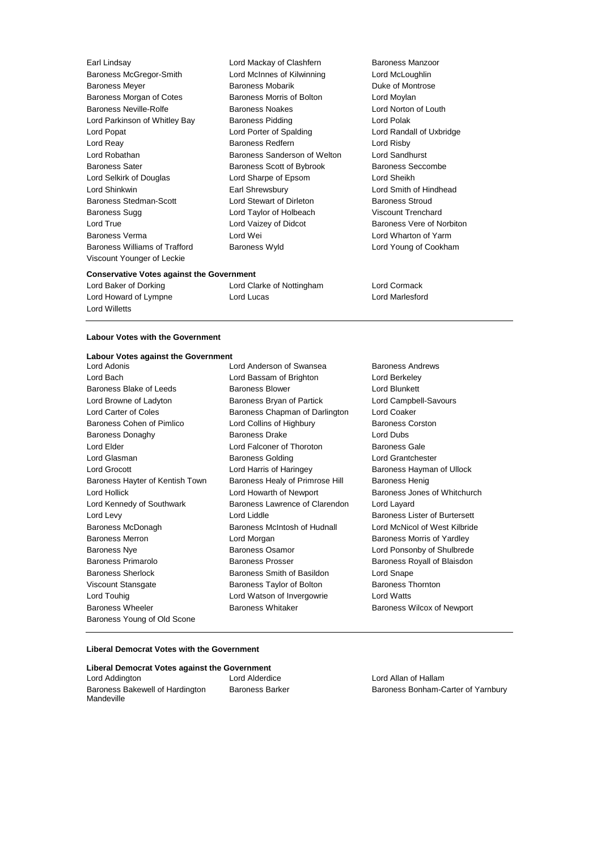Baroness Williams of Trafford Baroness Wyld Lord Young of Cookham Viscount Younger of Leckie

Earl Lindsay Lord Mackay of Clashfern Baroness Manzoor Baroness McGregor-Smith Lord McInnes of Kilwinning Lord McLoughlin Baroness Meyer **Baroness Mobarik** Baroness Mobarik **Duke of Montrose** Baroness Morgan of Cotes **Baroness Morris of Bolton** Lord Moylan Baroness Neville-Rolfe **Baroness Noakes** Lord Norton of Louth Lord Parkinson of Whitley Bay Baroness Pidding Correst Cord Polak Lord Popat **Lord Corporation Corporation** Lord Porter of Spalding **Lord Randall of Uxbridge** Lord Reay **Baroness Redfern** Lord Risby Lord Risby<br>
Lord Robathan **Baroness Sanderson of Welton** Lord Sandl Baroness Sanderson of Welton Lord Sandhurst Baroness Sater **Baroness Scott of Bybrook** Baroness Seccombe Lord Selkirk of Douglas Lord Sharpe of Epsom Lord Sheikh Lord Shinkwin Earl Shrewsbury Lord Smith of Hindhead Baroness Stedman-Scott Lord Stewart of Dirleton Baroness Stroud Baroness Sugg Lord Taylor of Holbeach Viscount Trenchard Lord True **Lord Vaizey of Didcot** Baroness Vere of Norbiton Baroness Verma **Lord Wei** Lord Wei **Lord Wharton of Yarm** 

#### **Conservative Votes against the Government**

Lord Willetts

Lord Baker of Dorking Lord Clarke of Nottingham Lord Cormack Lord Howard of Lympne Lord Lucas Lord Marlesford

#### **Labour Votes with the Government**

#### **Labour Votes against the Government**

Lord Bach Lord Bassam of Brighton Lord Berkeley Baroness Blake of Leeds **Baroness Blower Baroness Blower** Lord Blunkett Lord Browne of Ladyton Baroness Bryan of Partick Lord Campbell-Savours Lord Carter of Coles **Baroness Chapman of Darlington** Lord Coaker Baroness Cohen of Pimlico **Lord Collins of Highbury** Baroness Corston Baroness Donaghy **Baroness Drake** Lord Dubs Lord Elder **Lord Falconer of Thoroton** Baroness Gale Lord Glasman **Baroness Golding Baroness Golding Lord Grantchester** Lord Grocott Lord Harris of Haringey Baroness Hayman of Ullock Baroness Hayter of Kentish Town Baroness Healy of Primrose Hill Baroness Henig Lord Hollick Lord Howarth of Newport Baroness Jones of Whitchurch Lord Kennedy of Southwark Baroness Lawrence of Clarendon Lord Layard Lord Levy **Lord Liddle Lord Liddle Baroness Lister of Burtersett** Baroness McDonagh Baroness McIntosh of Hudnall Lord McNicol of West Kilbride Baroness Merron **Baroness Morris Contains Accord Morgan** Baroness Morris of Yardley Baroness Nye **Baroness Osamor** Baroness Osamor **Lord Ponsonby of Shulbrede** Baroness Primarolo **Baroness Prosser** Baroness Prosser Baroness Royall of Blaisdon Baroness Sherlock Baroness Smith of Basildon Lord Snape Viscount Stansgate **Baroness Taylor of Bolton** Baroness Thornton Lord Touhig Lord Watson of Invergowrie Lord Watts Baroness Wheeler **Baroness Whitaker** Baroness Whitaker **Baroness Wilcox of Newport** Baroness Young of Old Scone

Lord Adonis Lord Anderson of Swansea Baroness Andrews

#### **Liberal Democrat Votes with the Government**

### **Liberal Democrat Votes against the Government**

Lord Addington Lord Alderdice Lord Allan of Hallam Baroness Bakewell of Hardington Mandeville

Baroness Barker Baroness Bonham-Carter of Yarnbury